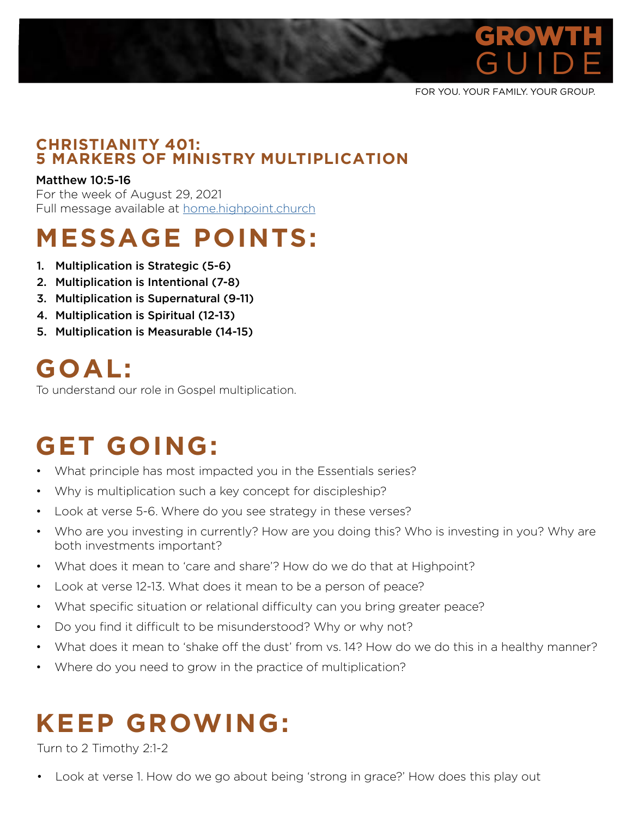

FOR YOU. YOUR FAMILY. YOUR GROUP.

#### **CHRISTIANITY 401: 5 MARKERS OF MINISTRY MULTIPLICATION**

#### Matthew 10:5-16

For the week of August 29, 2021 Full message available at home.highpoint.church

# **MESSAGE POINTS:**

- 1. Multiplication is Strategic (5-6)
- 2. Multiplication is Intentional (7-8)
- 3. Multiplication is Supernatural (9-11)
- 4. Multiplication is Spiritual (12-13)
- 5. Multiplication is Measurable (14-15)

## **GOAL:**

To understand our role in Gospel multiplication.

## **GET GOING:**

- What principle has most impacted you in the Essentials series?
- Why is multiplication such a key concept for discipleship?
- Look at verse 5-6. Where do you see strategy in these verses?
- Who are you investing in currently? How are you doing this? Who is investing in you? Why are both investments important?
- What does it mean to 'care and share'? How do we do that at Highpoint?
- Look at verse 12-13. What does it mean to be a person of peace?
- What specific situation or relational difficulty can you bring greater peace?
- Do you find it difficult to be misunderstood? Why or why not?
- What does it mean to 'shake off the dust' from vs. 14? How do we do this in a healthy manner?
- Where do you need to grow in the practice of multiplication?

## **KEEP GROWING:**

Turn to 2 Timothy 2:1-2

• Look at verse 1. How do we go about being 'strong in grace?' How does this play out